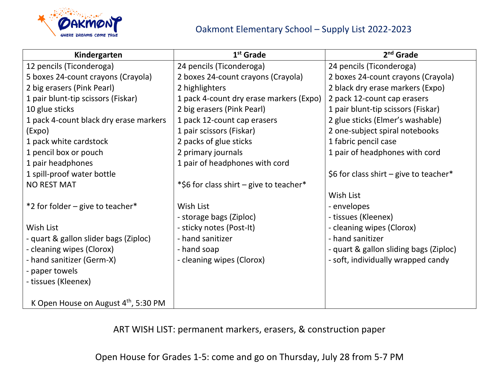

| Kindergarten                                     | $1st$ Grade                             | $2nd$ Grade                            |
|--------------------------------------------------|-----------------------------------------|----------------------------------------|
| 12 pencils (Ticonderoga)                         | 24 pencils (Ticonderoga)                | 24 pencils (Ticonderoga)               |
| 5 boxes 24-count crayons (Crayola)               | 2 boxes 24-count crayons (Crayola)      | 2 boxes 24-count crayons (Crayola)     |
| 2 big erasers (Pink Pearl)                       | 2 highlighters                          | 2 black dry erase markers (Expo)       |
| 1 pair blunt-tip scissors (Fiskar)               | 1 pack 4-count dry erase markers (Expo) | 2 pack 12-count cap erasers            |
| 10 glue sticks                                   | 2 big erasers (Pink Pearl)              | 1 pair blunt-tip scissors (Fiskar)     |
| 1 pack 4-count black dry erase markers           | 1 pack 12-count cap erasers             | 2 glue sticks (Elmer's washable)       |
| (Expo)                                           | 1 pair scissors (Fiskar)                | 2 one-subject spiral notebooks         |
| 1 pack white cardstock                           | 2 packs of glue sticks                  | 1 fabric pencil case                   |
| 1 pencil box or pouch                            | 2 primary journals                      | 1 pair of headphones with cord         |
| 1 pair headphones                                | 1 pair of headphones with cord          |                                        |
| 1 spill-proof water bottle                       |                                         | \$6 for class shirt – give to teacher* |
| <b>NO REST MAT</b>                               | *\$6 for class shirt – give to teacher* |                                        |
|                                                  |                                         | Wish List                              |
| *2 for folder – give to teacher*                 | Wish List                               | - envelopes                            |
|                                                  | - storage bags (Ziploc)                 | - tissues (Kleenex)                    |
| Wish List                                        | - sticky notes (Post-It)                | - cleaning wipes (Clorox)              |
| - quart & gallon slider bags (Ziploc)            | - hand sanitizer                        | - hand sanitizer                       |
| - cleaning wipes (Clorox)                        | - hand soap                             | - quart & gallon sliding bags (Ziploc) |
| - hand sanitizer (Germ-X)                        | - cleaning wipes (Clorox)               | - soft, individually wrapped candy     |
| - paper towels                                   |                                         |                                        |
| - tissues (Kleenex)                              |                                         |                                        |
|                                                  |                                         |                                        |
| K Open House on August $4^{\text{th}}$ , 5:30 PM |                                         |                                        |

ART WISH LIST: permanent markers, erasers, & construction paper

Open House for Grades 1-5: come and go on Thursday, July 28 from 5-7 PM